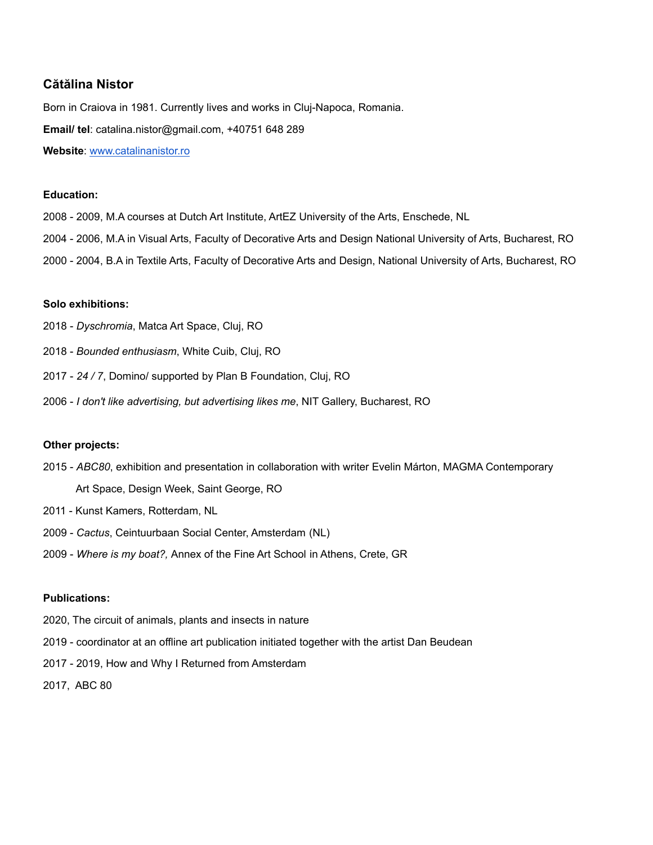# **Cătălina Nistor**

Born in Craiova in 1981. Currently lives and works in Cluj-Napoca, Romania. **Email/ tel**: catalina.nistor@gmail.com, +40751 648 289 **Website**: [www.catalinanistor.ro](http://www.catalinanistor.ro)

# **Education:**

- 2008 2009, M.A courses at Dutch Art Institute, ArtEZ University of the Arts, Enschede, NL
- 2004 2006, M.A in Visual Arts, Faculty of Decorative Arts and Design National University of Arts, Bucharest, RO
- 2000 2004, B.A in Textile Arts, Faculty of Decorative Arts and Design, National University of Arts, Bucharest, RO

## **Solo exhibitions:**

- 2018 *Dyschromia*, Matca Art Space, Cluj, RO
- 2018 *Bounded enthusiasm*, White Cuib, Cluj, RO
- 2017 *24 / 7*, Domino/ supported by Plan B Foundation, Cluj, RO
- 2006 *I don't like advertising, but advertising likes me*, NIT Gallery, Bucharest, RO

## **Other projects:**

- 2015 *ABC80*, exhibition and presentation in collaboration with writer Evelin Márton, MAGMA Contemporary Art Space, Design Week, Saint George, RO
- 2011 Kunst Kamers, Rotterdam, NL
- 2009 *Cactus*, Ceintuurbaan Social Center, Amsterdam (NL)
- 2009 *Where is my boat?,* Annex of the Fine Art School in Athens, Crete, GR

# **Publications:**

- 2020, The circuit of animals, plants and insects in nature
- 2019 coordinator at an offline art publication initiated together with the artist Dan Beudean
- 2017 2019, How and Why I Returned from Amsterdam
- 2017, ABC 80